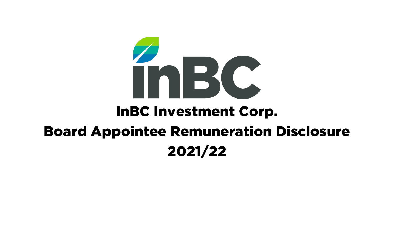

## InBC Investment Corp.

## Board Appointee Remuneration Disclosure 2021/22